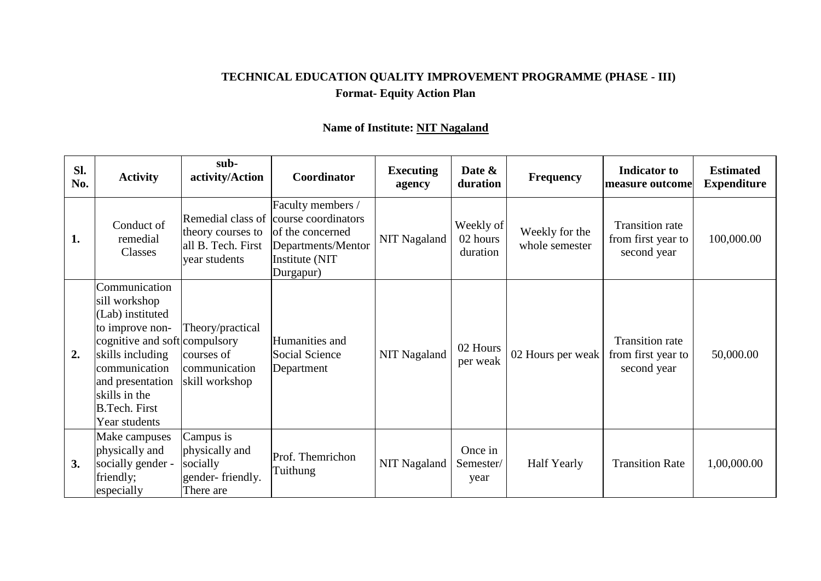## **TECHNICAL EDUCATION QUALITY IMPROVEMENT PROGRAMME (PHASE - III) Format- Equity Action Plan**

| Sl.<br>No. | <b>Activity</b>                                                                                                                                                                                                           | sub-<br>activity/Action                                                       | Coordinator                                                                                                       | <b>Executing</b><br>agency | Date &<br>duration                | <b>Frequency</b>                 | <b>Indicator</b> to<br>measure outcome                      | <b>Estimated</b><br><b>Expenditure</b> |
|------------|---------------------------------------------------------------------------------------------------------------------------------------------------------------------------------------------------------------------------|-------------------------------------------------------------------------------|-------------------------------------------------------------------------------------------------------------------|----------------------------|-----------------------------------|----------------------------------|-------------------------------------------------------------|----------------------------------------|
| 1.         | Conduct of<br>remedial<br>Classes                                                                                                                                                                                         | Remedial class of<br>theory courses to<br>all B. Tech. First<br>year students | Faculty members /<br>course coordinators<br>of the concerned<br>Departments/Mentor<br>Institute (NIT<br>Durgapur) | <b>NIT Nagaland</b>        | Weekly of<br>02 hours<br>duration | Weekly for the<br>whole semester | <b>Transition rate</b><br>from first year to<br>second year | 100,000.00                             |
| 2.         | Communication<br>sill workshop<br>(Lab) instituted<br>to improve non-<br>cognitive and soft compulsory<br>skills including<br>communication<br>and presentation<br>skills in the<br><b>B.Tech. First</b><br>Year students | Theory/practical<br>courses of<br>communication<br>skill workshop             | Humanities and<br>Social Science<br>Department                                                                    | <b>NIT Nagaland</b>        | 02 Hours<br>per weak              | 02 Hours per weak                | <b>Transition rate</b><br>from first year to<br>second year | 50,000.00                              |
| 3.         | Make campuses<br>physically and<br>socially gender -<br>friendly;<br>especially                                                                                                                                           | Campus is<br>physically and<br>socially<br>gender-friendly.<br>There are      | Prof. Themrichon<br>Tuithung                                                                                      | NIT Nagaland               | Once in<br>Semester/<br>year      | <b>Half Yearly</b>               | <b>Transition Rate</b>                                      | 1,00,000.00                            |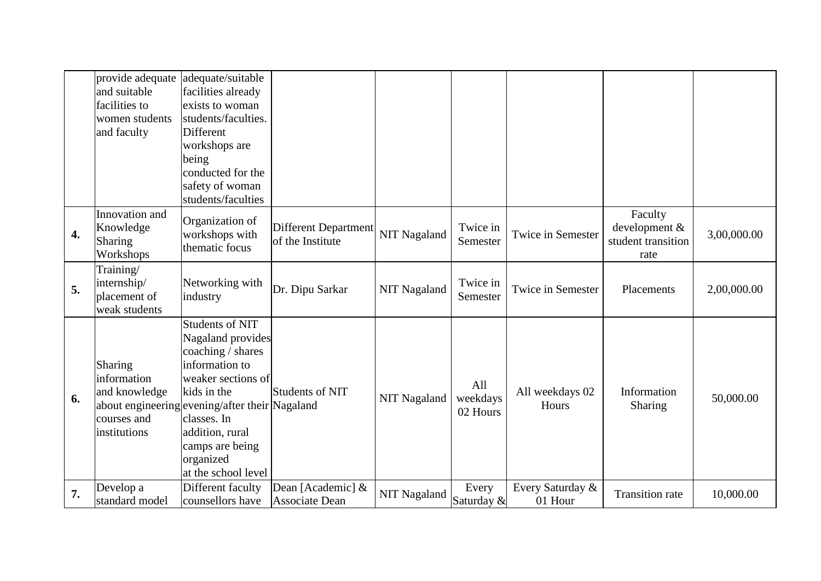|                  | provide adequate<br>and suitable<br>facilities to<br>women students<br>and faculty | adequate/suitable<br>facilities already<br>exists to woman<br>students/faculties.<br>Different<br>workshops are<br>being<br>conducted for the<br>safety of woman<br>students/faculties                                                                             |                                                 |                     |                             |                             |                                                        |             |
|------------------|------------------------------------------------------------------------------------|--------------------------------------------------------------------------------------------------------------------------------------------------------------------------------------------------------------------------------------------------------------------|-------------------------------------------------|---------------------|-----------------------------|-----------------------------|--------------------------------------------------------|-------------|
| $\overline{4}$ . | Innovation and<br>Knowledge<br>Sharing<br>Workshops                                | Organization of<br>workshops with<br>thematic focus                                                                                                                                                                                                                | <b>Different Department</b><br>of the Institute | NIT Nagaland        | Twice in<br>Semester        | <b>Twice in Semester</b>    | Faculty<br>development &<br>student transition<br>rate | 3,00,000.00 |
| 5.               | Training/<br>internship/<br>placement of<br>weak students                          | Networking with<br>industry                                                                                                                                                                                                                                        | Dr. Dipu Sarkar                                 | <b>NIT Nagaland</b> | Twice in<br>Semester        | Twice in Semester           | Placements                                             | 2,00,000.00 |
| 6.               | Sharing<br>information<br>and knowledge<br>courses and<br>institutions             | <b>Students of NIT</b><br>Nagaland provides<br>coaching / shares<br>information to<br>weaker sections of<br>kids in the<br>about engineering evening/after their Nagaland<br>classes. In<br>addition, rural<br>camps are being<br>organized<br>at the school level | Students of NIT                                 | <b>NIT Nagaland</b> | All<br>weekdays<br>02 Hours | All weekdays 02<br>Hours    | Information<br><b>Sharing</b>                          | 50,000.00   |
| 7.               | Develop a<br>standard model                                                        | Different faculty<br>counsellors have                                                                                                                                                                                                                              | Dean [Academic] &<br><b>Associate Dean</b>      | <b>NIT Nagaland</b> | Every<br>Saturday &         | Every Saturday &<br>01 Hour | <b>Transition rate</b>                                 | 10,000.00   |